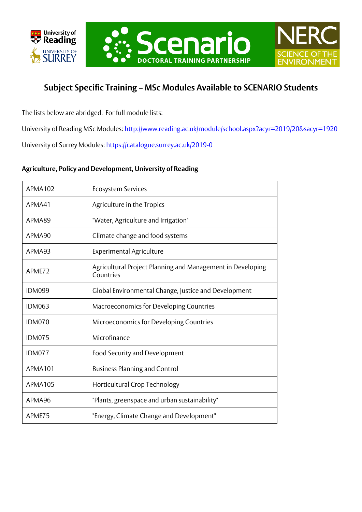





# **Subject Specific Training – MSc Modules Available to SCENARIO Students**

The lists below are abridged. For full module lists:

University of Reading MSc Modules: <http://www.reading.ac.uk/module/school.aspx?acyr=2019/20&sacyr=1920>

University of Surrey Modules: <https://catalogue.surrey.ac.uk/2019-0>

#### **Agriculture, Policy and Development, University of Reading**

| APMA102       | <b>Ecosystem Services</b>                                               |
|---------------|-------------------------------------------------------------------------|
| APMA41        | Agriculture in the Tropics                                              |
| APMA89        | "Water, Agriculture and Irrigation"                                     |
| APMA90        | Climate change and food systems                                         |
| APMA93        | Experimental Agriculture                                                |
| APME72        | Agricultural Project Planning and Management in Developing<br>Countries |
| <b>IDM099</b> | Global Environmental Change, Justice and Development                    |
| <b>IDM063</b> | Macroeconomics for Developing Countries                                 |
| <b>IDM070</b> | Microeconomics for Developing Countries                                 |
| <b>IDM075</b> | Microfinance                                                            |
| <b>IDM077</b> | Food Security and Development                                           |
| APMA101       | <b>Business Planning and Control</b>                                    |
| APMA105       | Horticultural Crop Technology                                           |
| APMA96        | "Plants, greenspace and urban sustainability"                           |
| APME75        | "Energy, Climate Change and Development"                                |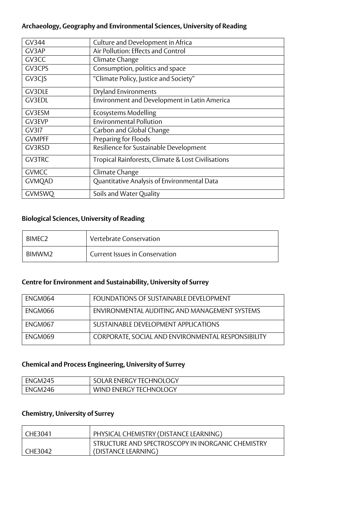#### **Archaeology, Geography and Environmental Sciences, University of Reading**

| <b>GV344</b>  | Culture and Development in Africa                  |
|---------------|----------------------------------------------------|
| GV3AP         | Air Pollution: Effects and Control                 |
| GV3CC         | Climate Change                                     |
| GV3CPS        | Consumption, politics and space                    |
| GV3CJS        | "Climate Policy, Justice and Society"              |
| <b>GV3DLE</b> | <b>Dryland Environments</b>                        |
| <b>GV3EDL</b> | Environment and Development in Latin America       |
| GV3ESM        | <b>Ecosystems Modelling</b>                        |
| <b>GV3EVP</b> | <b>Environmental Pollution</b>                     |
| GV3I7         | Carbon and Global Change                           |
| <b>GVMPFF</b> | Preparing for Floods                               |
| GV3RSD        | Resilience for Sustainable Development             |
| <b>GV3TRC</b> | Tropical Rainforests, Climate & Lost Civilisations |
| <b>GVMCC</b>  | Climate Change                                     |
| <b>GVMQAD</b> | Quantitative Analysis of Environmental Data        |
| <b>GVMSWQ</b> | Soils and Water Quality                            |

#### **Biological Sciences, University of Reading**

| <b>BIMEC2</b>      | Vertebrate Conservation               |
|--------------------|---------------------------------------|
| BIMWM <sub>2</sub> | <b>Current Issues in Conservation</b> |

### **Centre for Environment and Sustainability, University of Surrey**

| ENGM064 | FOUNDATIONS OF SUSTAINABLE DEVELOPMENT             |
|---------|----------------------------------------------------|
| ENGM066 | ENVIRONMENTAL AUDITING AND MANAGEMENT SYSTEMS      |
| ENGM067 | SUSTAINABLE DEVELOPMENT APPLICATIONS               |
| ENGM069 | CORPORATE, SOCIAL AND ENVIRONMENTAL RESPONSIBILITY |

### **Chemical and Process Engineering, University of Surrey**

| ENGM245 | SOLAR ENERGY TECHNOLOGY       |
|---------|-------------------------------|
| ENGM246 | <b>WIND ENERGY TECHNOLOGY</b> |

#### **Chemistry, University of Surrey**

| $\mid$ CHE3041 | PHYSICAL CHEMISTRY (DISTANCE LEARNING)                                   |
|----------------|--------------------------------------------------------------------------|
| CHE3042        | STRUCTURE AND SPECTROSCOPY IN INORGANIC CHEMISTRY<br>(DISTANCE LEARNING) |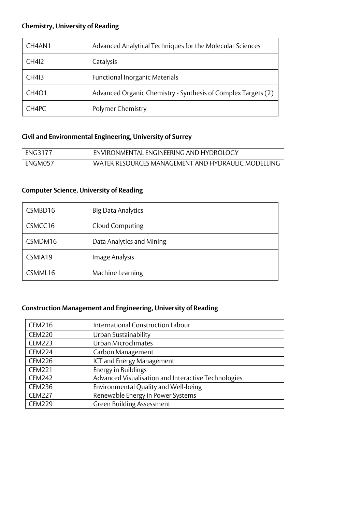# **Chemistry, University of Reading**

| CH4AN1       | Advanced Analytical Techniques for the Molecular Sciences     |
|--------------|---------------------------------------------------------------|
| <b>CH4I2</b> | Catalysis                                                     |
| <b>CH4I3</b> | <b>Functional Inorganic Materials</b>                         |
| <b>CH4O1</b> | Advanced Organic Chemistry - Synthesis of Complex Targets (2) |
| CH4PC        | <b>Polymer Chemistry</b>                                      |

### **Civil and Environmental Engineering, University of Surrey**

| <b>FNG3177</b> | ENVIRONMENTAL ENGINEERING AND HYDROLOGY            |
|----------------|----------------------------------------------------|
| ENGM057        | WATER RESOURCES MANAGEMENT AND HYDRAULIC MODELLING |

#### **Computer Science, University of Reading**

| CSMBD16 | <b>Big Data Analytics</b> |
|---------|---------------------------|
| CSMCC16 | Cloud Computing           |
| CSMDM16 | Data Analytics and Mining |
| CSMIA19 | Image Analysis            |
| CSMML16 | Machine Learning          |

# **Construction Management and Engineering, University of Reading**

| <b>CEM216</b> | International Construction Labour                   |
|---------------|-----------------------------------------------------|
| <b>CEM220</b> | Urban Sustainability                                |
| <b>CEM223</b> | Urban Microclimates                                 |
| <b>CEM224</b> | Carbon Management                                   |
| <b>CEM226</b> | ICT and Energy Management                           |
| <b>CEM221</b> | <b>Energy in Buildings</b>                          |
| <b>CEM242</b> | Advanced Visualisation and Interactive Technologies |
| <b>CEM236</b> | Environmental Quality and Well-being                |
| <b>CEM227</b> | Renewable Energy in Power Systems                   |
| <b>CEM229</b> | Green Building Assessment                           |